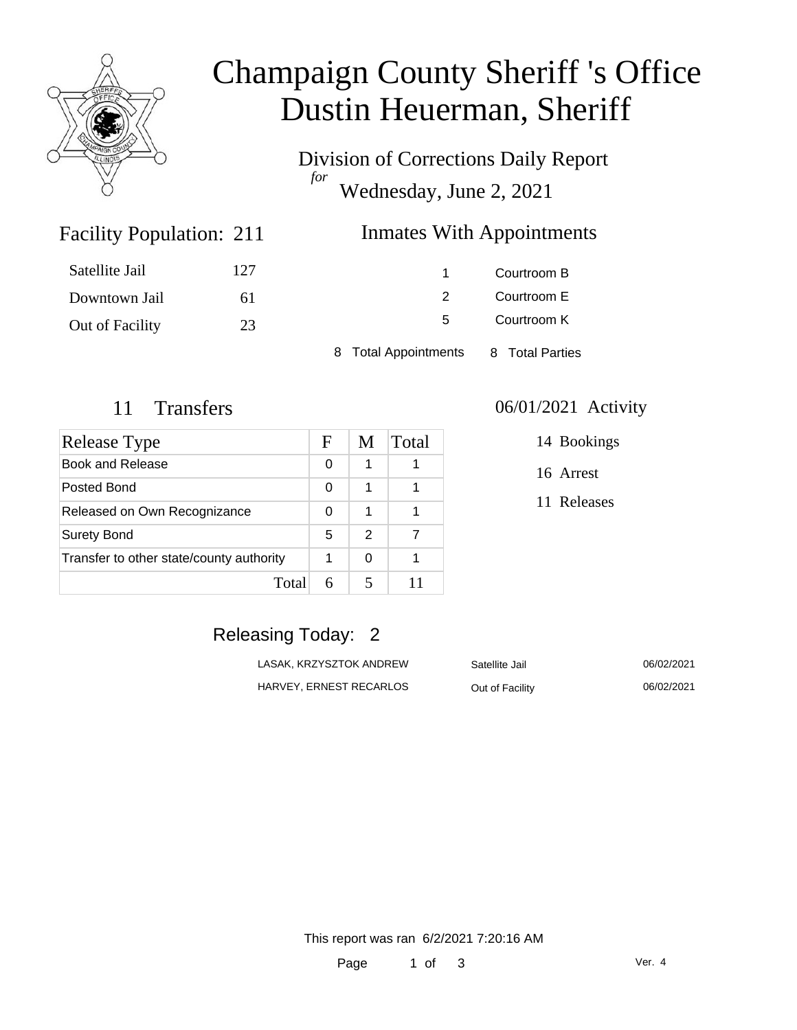

# Champaign County Sheriff 's Office Dustin Heuerman, Sheriff

Division of Corrections Daily Report *for* Wednesday, June 2, 2021

## **Inmates With Appointments**

| Satellite Jail  | 127 |                      | Courtroom B     |  |
|-----------------|-----|----------------------|-----------------|--|
| Downtown Jail   | 61  |                      | Courtroom E     |  |
| Out of Facility | 23  | 5.                   | Courtroom K     |  |
|                 |     | 8 Total Appointments | 8 Total Parties |  |

Facility Population: 211

| Release Type                             | F | M             | Total |
|------------------------------------------|---|---------------|-------|
| Book and Release                         | 0 | 1             |       |
| Posted Bond                              | 0 | 1             |       |
| Released on Own Recognizance             |   | 1             |       |
| <b>Surety Bond</b>                       |   | $\mathcal{P}$ |       |
| Transfer to other state/county authority |   | 0             |       |
| Total                                    |   |               |       |

#### 11 Transfers 06/01/2021 Activity

14 Bookings

16 Arrest

11 Releases

## Releasing Today: 2

| LASAK. KRZYSZTOK ANDREW | Satellite Jail  | 06/02/2021 |
|-------------------------|-----------------|------------|
| HARVEY, ERNEST RECARLOS | Out of Facility | 06/02/2021 |

Facility 06/02/2021

This report was ran 6/2/2021 7:20:16 AM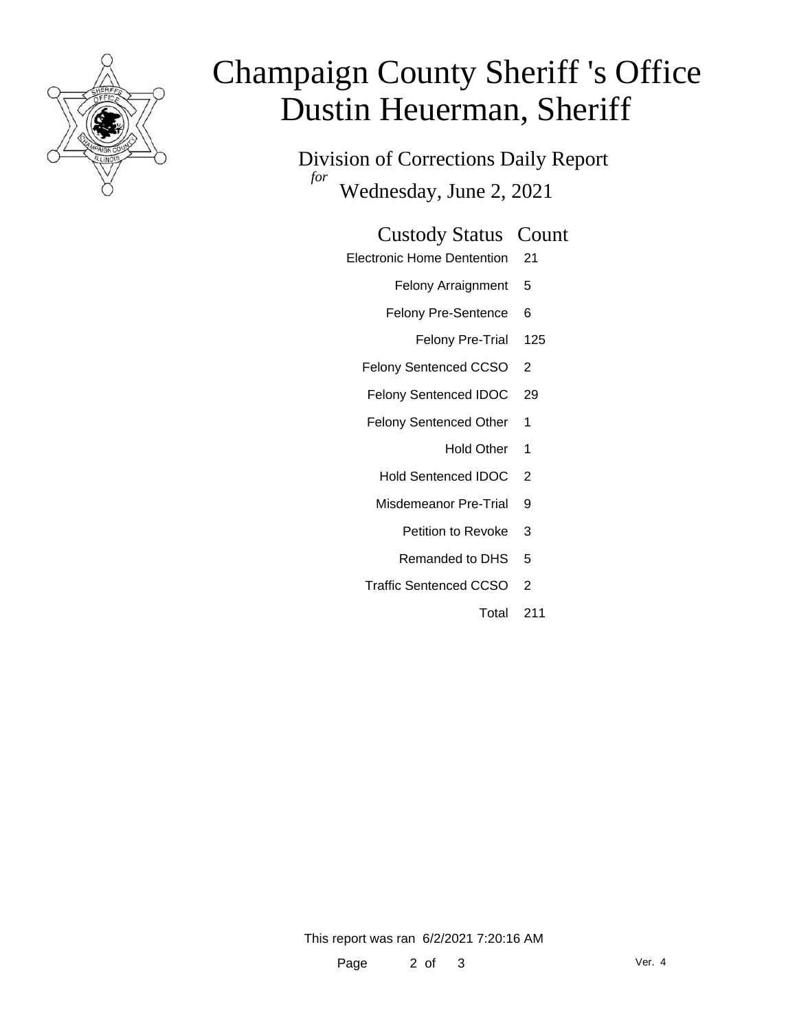

# Champaign County Sheriff 's Office Dustin Heuerman, Sheriff

Division of Corrections Daily Report *for* Wednesday, June 2, 2021

#### Custody Status Count

- Electronic Home Dentention 21
	- Felony Arraignment 5
	- Felony Pre-Sentence 6
		- Felony Pre-Trial 125
	- Felony Sentenced CCSO 2
	- Felony Sentenced IDOC 29
	- Felony Sentenced Other 1
		- Hold Other 1
		- Hold Sentenced IDOC 2
		- Misdemeanor Pre-Trial 9
			- Petition to Revoke 3
			- Remanded to DHS 5
	- Traffic Sentenced CCSO 2
		- Total 211

This report was ran 6/2/2021 7:20:16 AM